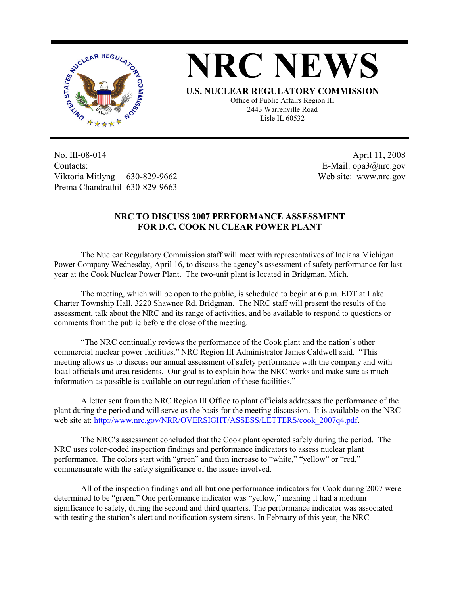

## **NRC NEWS**

**U.S. NUCLEAR REGULATORY COMMISSION** Office of Public Affairs Region III 2443 Warrenville Road Lisle IL 60532

No. III-08-014 Contacts: Viktoria Mitlyng 630-829-9662 Prema Chandrathil 630-829-9663

 April 11, 2008 E-Mail: opa3@nrc.gov Web site: www.nrc.gov

## **NRC TO DISCUSS 2007 PERFORMANCE ASSESSMENT FOR D.C. COOK NUCLEAR POWER PLANT**

The Nuclear Regulatory Commission staff will meet with representatives of Indiana Michigan Power Company Wednesday, April 16, to discuss the agency's assessment of safety performance for last year at the Cook Nuclear Power Plant. The two-unit plant is located in Bridgman, Mich.

 The meeting, which will be open to the public, is scheduled to begin at 6 p.m. EDT at Lake Charter Township Hall, 3220 Shawnee Rd. Bridgman. The NRC staff will present the results of the assessment, talk about the NRC and its range of activities, and be available to respond to questions or comments from the public before the close of the meeting.

 "The NRC continually reviews the performance of the Cook plant and the nation's other commercial nuclear power facilities," NRC Region III Administrator James Caldwell said. "This meeting allows us to discuss our annual assessment of safety performance with the company and with local officials and area residents. Our goal is to explain how the NRC works and make sure as much information as possible is available on our regulation of these facilities."

 A letter sent from the NRC Region III Office to plant officials addresses the performance of the plant during the period and will serve as the basis for the meeting discussion. It is available on the NRC web site at: http://www.nrc.gov/NRR/OVERSIGHT/ASSESS/LETTERS/cook\_2007q4.pdf.

 The NRC's assessment concluded that the Cook plant operated safely during the period. The NRC uses color-coded inspection findings and performance indicators to assess nuclear plant performance. The colors start with "green" and then increase to "white," "yellow" or "red," commensurate with the safety significance of the issues involved.

 All of the inspection findings and all but one performance indicators for Cook during 2007 were determined to be "green." One performance indicator was "yellow," meaning it had a medium significance to safety, during the second and third quarters. The performance indicator was associated with testing the station's alert and notification system sirens. In February of this year, the NRC